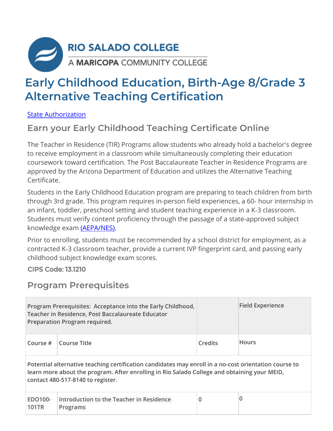

# **Early Childhood Education, Birth-Age 8/Grade 3 Alternative Teaching Certification**

State Authorization

### **Earn your Early Childhood Teaching Certificate Online**

The Teacher in Residence (TIR) Programs allow students who already hold a bachelor's degree to receive employment in a classroom while simultaneously completing their education coursework toward certification. The Post Baccalaureate Teacher in Residence Programs are approved by the Arizona Department of Education and utilizes the Alternative Teaching Certificate.

Students in the Early Childhood Education program are preparing to teach children from birth through 3rd grade. This program requires in-person field experiences, a 60- hour internship in an infant, toddler, preschool setting and student teaching experience in a K-3 classroom. Students must verify content proficiency through the passage of a state-approved subject knowledge exam (AEPA/NES).

Prior to enrolling, students must be recommended by a school district for employment, as a contracted K-3 classroom teacher, provide a current IVP fingerprint card, and passing early childhood subject knowledge exam scores.

CIPS Code: 13.1210

#### **Program Prerequisites**

|                                                                                                                      | Program Prerequisites: Acceptance into the Early Childhood,<br>Teacher in Residence, Post Baccalaureate Educator<br>Preparation Program required. |         | <b>Field Experience</b> |  |
|----------------------------------------------------------------------------------------------------------------------|---------------------------------------------------------------------------------------------------------------------------------------------------|---------|-------------------------|--|
| Course #                                                                                                             | Course Title                                                                                                                                      | Credits | <b>Hours</b>            |  |
| $\blacksquare$ Potential alternative teaching certification candidates may enroll in a no-cost orientation course to |                                                                                                                                                   |         |                         |  |

**Potential alternative teaching certification candidates may enroll in a no-cost orientation course to learn more about the program. After enrolling in Rio Salado College and obtaining your MEID, contact 480-517-8140 to register.**

| <b>EDO100-</b> | Introduction to the Teacher in Residence |  |
|----------------|------------------------------------------|--|
| 101TR          | Programs                                 |  |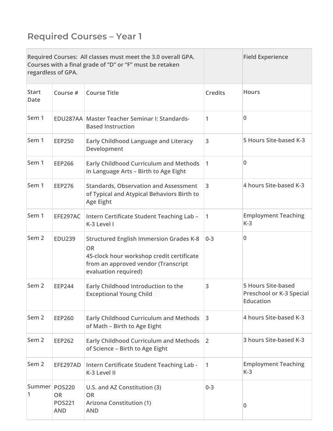## **Required Courses – Year 1**

|                      | regardless of GPA.                       | Required Courses: All classes must meet the 3.0 overall GPA.<br>Courses with a final grade of "D" or "F" must be retaken                                                |                | <b>Field Experience</b>                                            |
|----------------------|------------------------------------------|-------------------------------------------------------------------------------------------------------------------------------------------------------------------------|----------------|--------------------------------------------------------------------|
| <b>Start</b><br>Date | Course #                                 | <b>Course Title</b>                                                                                                                                                     | <b>Credits</b> | <b>Hours</b>                                                       |
| Sem 1                |                                          | EDU287AA Master Teacher Seminar I: Standards-<br><b>Based Instruction</b>                                                                                               | 1              | 0                                                                  |
| Sem 1                | <b>EEP250</b>                            | Early Childhood Language and Literacy<br>Development                                                                                                                    | 3              | 5 Hours Site-based K-3                                             |
| Sem 1                | <b>EEP266</b>                            | <b>Early Childhood Curriculum and Methods</b><br>in Language Arts - Birth to Age Eight                                                                                  | $\mathbf{1}$   | 0                                                                  |
| Sem 1                | <b>EEP276</b>                            | <b>Standards, Observation and Assessment</b><br>of Typical and Atypical Behaviors Birth to<br><b>Age Eight</b>                                                          | 3              | 4 hours Site-based K-3                                             |
| Sem 1                | EFE297AC                                 | Intern Certificate Student Teaching Lab -<br>K-3 Level I                                                                                                                | 1              | <b>Employment Teaching</b><br>$K-3$                                |
| Sem <sub>2</sub>     | <b>EDU239</b>                            | <b>Structured English Immersion Grades K-8</b><br><b>OR</b><br>45-clock hour workshop credit certificate<br>from an approved vendor (Transcript<br>evaluation required) | $0 - 3$        | 0                                                                  |
| Sem <sub>2</sub>     | <b>EEP244</b>                            | Early Childhood Introduction to the<br><b>Exceptional Young Child</b>                                                                                                   | 3              | <b>5 Hours Site-based</b><br>Preschool or K-3 Special<br>Education |
| Sem <sub>2</sub>     | <b>EEP260</b>                            | <b>Early Childhood Curriculum and Methods</b><br>of Math - Birth to Age Eight                                                                                           | 3              | 4 hours Site-based K-3                                             |
| Sem <sub>2</sub>     | <b>EEP262</b>                            | <b>Early Childhood Curriculum and Methods</b><br>of Science - Birth to Age Eight                                                                                        | $\overline{2}$ | 3 hours Site-based K-3                                             |
| Sem <sub>2</sub>     | EFE297AD                                 | Intern Certificate Student Teaching Lab -<br>K-3 Level II                                                                                                               | 1              | <b>Employment Teaching</b><br>$K-3$                                |
| Summer POS220<br>1   | <b>OR</b><br><b>POS221</b><br><b>AND</b> | U.S. and AZ Constitution (3)<br><b>OR</b><br><b>Arizona Constitution (1)</b><br><b>AND</b>                                                                              | $0 - 3$        | 0                                                                  |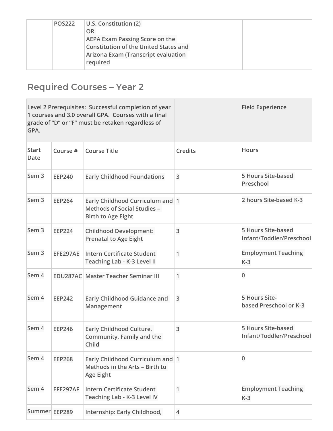| <b>POS222</b> | $ U.S.$ Constitution (2)<br>OR                                                        |  |
|---------------|---------------------------------------------------------------------------------------|--|
|               | <b>AEPA Exam Passing Score on the</b><br><b>Constitution of the United States and</b> |  |
|               | Arizona Exam (Transcript evaluation<br>required                                       |  |

## **Required Courses – Year 2**

| GPA.                        |               | Level 2 Prerequisites: Successful completion of year<br>1 courses and 3.0 overall GPA. Courses with a final<br>grade of "D" or "F" must be retaken regardless of |                | <b>Field Experience</b>                               |
|-----------------------------|---------------|------------------------------------------------------------------------------------------------------------------------------------------------------------------|----------------|-------------------------------------------------------|
| <b>Start</b><br><b>Date</b> | Course #      | <b>Course Title</b>                                                                                                                                              | <b>Credits</b> | <b>Hours</b>                                          |
| Sem <sub>3</sub>            | <b>EEP240</b> | <b>Early Childhood Foundations</b>                                                                                                                               | 3              | <b>5 Hours Site-based</b><br>Preschool                |
| Sem <sub>3</sub>            | <b>EEP264</b> | Early Childhood Curriculum and 1<br><b>Methods of Social Studies -</b><br>Birth to Age Eight                                                                     |                | 2 hours Site-based K-3                                |
| Sem <sub>3</sub>            | <b>EEP224</b> | <b>Childhood Development:</b><br><b>Prenatal to Age Eight</b>                                                                                                    | 3              | <b>5 Hours Site-based</b><br>Infant/Toddler/Preschool |
| Sem <sub>3</sub>            | EFE297AE      | <b>Intern Certificate Student</b><br>Teaching Lab - K-3 Level II                                                                                                 | 1              | <b>Employment Teaching</b><br>$K-3$                   |
| Sem 4                       |               | <b>EDU287AC Master Teacher Seminar III</b>                                                                                                                       | 1              | 0                                                     |
| Sem 4                       | <b>EEP242</b> | Early Childhood Guidance and<br>Management                                                                                                                       | 3              | 5 Hours Site-<br>based Preschool or K-3               |
| Sem 4                       | <b>EEP246</b> | Early Childhood Culture,<br>Community, Family and the<br>Child                                                                                                   | 3              | <b>5 Hours Site-based</b><br>Infant/Toddler/Preschool |
| Sem 4                       | <b>EEP268</b> | Early Childhood Curriculum and 1<br>Methods in the Arts - Birth to<br><b>Age Eight</b>                                                                           |                | 0                                                     |
| Sem 4                       | EFE297AF      | <b>Intern Certificate Student</b><br>Teaching Lab - K-3 Level IV                                                                                                 | 1              | <b>Employment Teaching</b><br>$K-3$                   |
| Summer EEP289               |               | Internship: Early Childhood,                                                                                                                                     | $\overline{4}$ |                                                       |